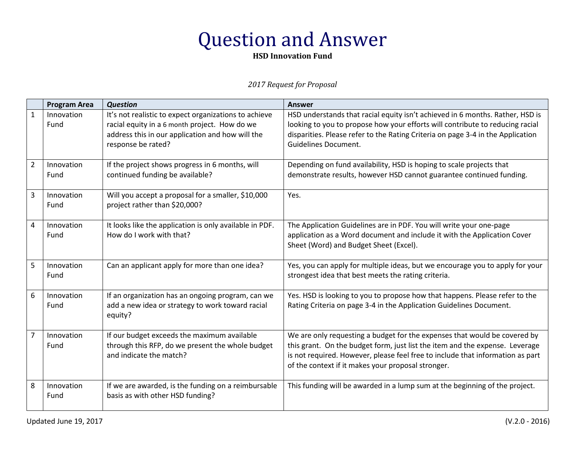**HSD Innovation Fund**

|                | <b>Program Area</b> | <b>Question</b>                                                                                                                                                                  | <b>Answer</b>                                                                                                                                                                                                                                                                                     |
|----------------|---------------------|----------------------------------------------------------------------------------------------------------------------------------------------------------------------------------|---------------------------------------------------------------------------------------------------------------------------------------------------------------------------------------------------------------------------------------------------------------------------------------------------|
| $\mathbf{1}$   | Innovation<br>Fund  | It's not realistic to expect organizations to achieve<br>racial equity in a 6 month project. How do we<br>address this in our application and how will the<br>response be rated? | HSD understands that racial equity isn't achieved in 6 months. Rather, HSD is<br>looking to you to propose how your efforts will contribute to reducing racial<br>disparities. Please refer to the Rating Criteria on page 3-4 in the Application<br><b>Guidelines Document.</b>                  |
| $\overline{2}$ | Innovation<br>Fund  | If the project shows progress in 6 months, will<br>continued funding be available?                                                                                               | Depending on fund availability, HSD is hoping to scale projects that<br>demonstrate results, however HSD cannot guarantee continued funding.                                                                                                                                                      |
| 3              | Innovation<br>Fund  | Will you accept a proposal for a smaller, \$10,000<br>project rather than \$20,000?                                                                                              | Yes.                                                                                                                                                                                                                                                                                              |
| 4              | Innovation<br>Fund  | It looks like the application is only available in PDF.<br>How do I work with that?                                                                                              | The Application Guidelines are in PDF. You will write your one-page<br>application as a Word document and include it with the Application Cover<br>Sheet (Word) and Budget Sheet (Excel).                                                                                                         |
| 5              | Innovation<br>Fund  | Can an applicant apply for more than one idea?                                                                                                                                   | Yes, you can apply for multiple ideas, but we encourage you to apply for your<br>strongest idea that best meets the rating criteria.                                                                                                                                                              |
| 6              | Innovation<br>Fund  | If an organization has an ongoing program, can we<br>add a new idea or strategy to work toward racial<br>equity?                                                                 | Yes. HSD is looking to you to propose how that happens. Please refer to the<br>Rating Criteria on page 3-4 in the Application Guidelines Document.                                                                                                                                                |
| 7              | Innovation<br>Fund  | If our budget exceeds the maximum available<br>through this RFP, do we present the whole budget<br>and indicate the match?                                                       | We are only requesting a budget for the expenses that would be covered by<br>this grant. On the budget form, just list the item and the expense. Leverage<br>is not required. However, please feel free to include that information as part<br>of the context if it makes your proposal stronger. |
| 8              | Innovation<br>Fund  | If we are awarded, is the funding on a reimbursable<br>basis as with other HSD funding?                                                                                          | This funding will be awarded in a lump sum at the beginning of the project.                                                                                                                                                                                                                       |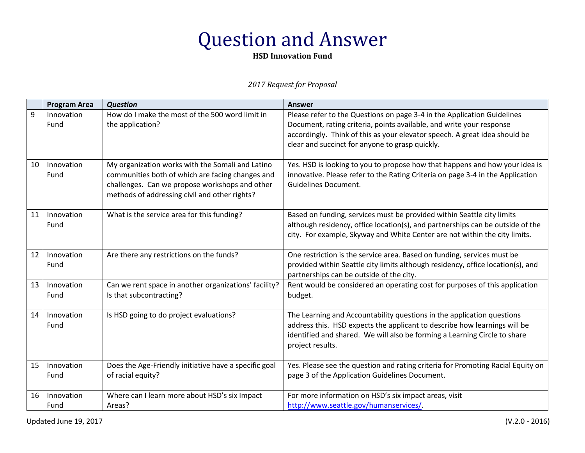**HSD Innovation Fund**

|    | <b>Program Area</b> | <b>Question</b>                                                                                                                                                                                         | <b>Answer</b>                                                                                                                                                                                                                                                                    |
|----|---------------------|---------------------------------------------------------------------------------------------------------------------------------------------------------------------------------------------------------|----------------------------------------------------------------------------------------------------------------------------------------------------------------------------------------------------------------------------------------------------------------------------------|
| 9  | Innovation<br>Fund  | How do I make the most of the 500 word limit in<br>the application?                                                                                                                                     | Please refer to the Questions on page 3-4 in the Application Guidelines<br>Document, rating criteria, points available, and write your response<br>accordingly. Think of this as your elevator speech. A great idea should be<br>clear and succinct for anyone to grasp quickly. |
| 10 | Innovation<br>Fund  | My organization works with the Somali and Latino<br>communities both of which are facing changes and<br>challenges. Can we propose workshops and other<br>methods of addressing civil and other rights? | Yes. HSD is looking to you to propose how that happens and how your idea is<br>innovative. Please refer to the Rating Criteria on page 3-4 in the Application<br><b>Guidelines Document.</b>                                                                                     |
| 11 | Innovation<br>Fund  | What is the service area for this funding?                                                                                                                                                              | Based on funding, services must be provided within Seattle city limits<br>although residency, office location(s), and partnerships can be outside of the<br>city. For example, Skyway and White Center are not within the city limits.                                           |
| 12 | Innovation<br>Fund  | Are there any restrictions on the funds?                                                                                                                                                                | One restriction is the service area. Based on funding, services must be<br>provided within Seattle city limits although residency, office location(s), and<br>partnerships can be outside of the city.                                                                           |
| 13 | Innovation<br>Fund  | Can we rent space in another organizations' facility?<br>Is that subcontracting?                                                                                                                        | Rent would be considered an operating cost for purposes of this application<br>budget.                                                                                                                                                                                           |
| 14 | Innovation<br>Fund  | Is HSD going to do project evaluations?                                                                                                                                                                 | The Learning and Accountability questions in the application questions<br>address this. HSD expects the applicant to describe how learnings will be<br>identified and shared. We will also be forming a Learning Circle to share<br>project results.                             |
| 15 | Innovation<br>Fund  | Does the Age-Friendly initiative have a specific goal<br>of racial equity?                                                                                                                              | Yes. Please see the question and rating criteria for Promoting Racial Equity on<br>page 3 of the Application Guidelines Document.                                                                                                                                                |
| 16 | Innovation<br>Fund  | Where can I learn more about HSD's six Impact<br>Areas?                                                                                                                                                 | For more information on HSD's six impact areas, visit<br>http://www.seattle.gov/humanservices/.                                                                                                                                                                                  |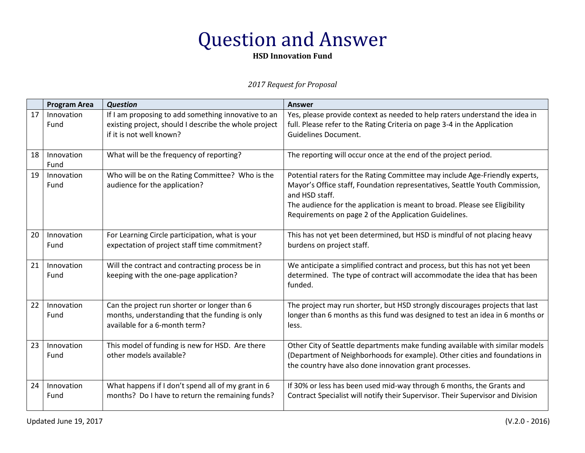**HSD Innovation Fund**

|    | <b>Program Area</b> | <b>Question</b>                                                                                                                          | <b>Answer</b>                                                                                                                                                                                                                                                                                                       |
|----|---------------------|------------------------------------------------------------------------------------------------------------------------------------------|---------------------------------------------------------------------------------------------------------------------------------------------------------------------------------------------------------------------------------------------------------------------------------------------------------------------|
| 17 | Innovation<br>Fund  | If I am proposing to add something innovative to an<br>existing project, should I describe the whole project<br>if it is not well known? | Yes, please provide context as needed to help raters understand the idea in<br>full. Please refer to the Rating Criteria on page 3-4 in the Application<br><b>Guidelines Document.</b>                                                                                                                              |
| 18 | Innovation<br>Fund  | What will be the frequency of reporting?                                                                                                 | The reporting will occur once at the end of the project period.                                                                                                                                                                                                                                                     |
| 19 | Innovation<br>Fund  | Who will be on the Rating Committee? Who is the<br>audience for the application?                                                         | Potential raters for the Rating Committee may include Age-Friendly experts,<br>Mayor's Office staff, Foundation representatives, Seattle Youth Commission,<br>and HSD staff.<br>The audience for the application is meant to broad. Please see Eligibility<br>Requirements on page 2 of the Application Guidelines. |
| 20 | Innovation<br>Fund  | For Learning Circle participation, what is your<br>expectation of project staff time commitment?                                         | This has not yet been determined, but HSD is mindful of not placing heavy<br>burdens on project staff.                                                                                                                                                                                                              |
| 21 | Innovation<br>Fund  | Will the contract and contracting process be in<br>keeping with the one-page application?                                                | We anticipate a simplified contract and process, but this has not yet been<br>determined. The type of contract will accommodate the idea that has been<br>funded.                                                                                                                                                   |
| 22 | Innovation<br>Fund  | Can the project run shorter or longer than 6<br>months, understanding that the funding is only<br>available for a 6-month term?          | The project may run shorter, but HSD strongly discourages projects that last<br>longer than 6 months as this fund was designed to test an idea in 6 months or<br>less.                                                                                                                                              |
| 23 | Innovation<br>Fund  | This model of funding is new for HSD. Are there<br>other models available?                                                               | Other City of Seattle departments make funding available with similar models<br>(Department of Neighborhoods for example). Other cities and foundations in<br>the country have also done innovation grant processes.                                                                                                |
| 24 | Innovation<br>Fund  | What happens if I don't spend all of my grant in 6<br>months? Do I have to return the remaining funds?                                   | If 30% or less has been used mid-way through 6 months, the Grants and<br>Contract Specialist will notify their Supervisor. Their Supervisor and Division                                                                                                                                                            |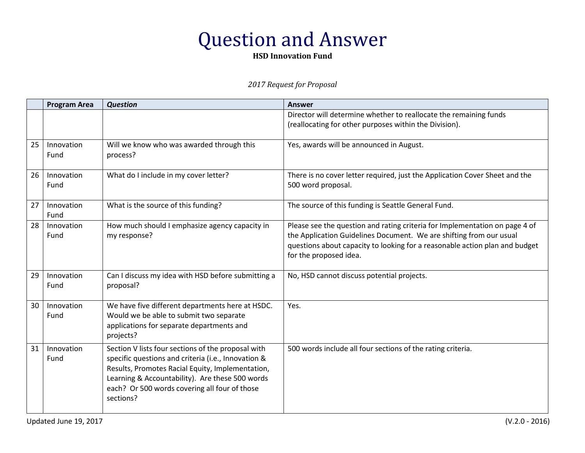**HSD Innovation Fund**

|    | <b>Program Area</b> | <b>Question</b>                                                                                                                                                                                                                                                                | <b>Answer</b>                                                                                                                                                                                                                                               |
|----|---------------------|--------------------------------------------------------------------------------------------------------------------------------------------------------------------------------------------------------------------------------------------------------------------------------|-------------------------------------------------------------------------------------------------------------------------------------------------------------------------------------------------------------------------------------------------------------|
|    |                     |                                                                                                                                                                                                                                                                                | Director will determine whether to reallocate the remaining funds<br>(reallocating for other purposes within the Division).                                                                                                                                 |
| 25 | Innovation<br>Fund  | Will we know who was awarded through this<br>process?                                                                                                                                                                                                                          | Yes, awards will be announced in August.                                                                                                                                                                                                                    |
| 26 | Innovation<br>Fund  | What do I include in my cover letter?                                                                                                                                                                                                                                          | There is no cover letter required, just the Application Cover Sheet and the<br>500 word proposal.                                                                                                                                                           |
| 27 | Innovation<br>Fund  | What is the source of this funding?                                                                                                                                                                                                                                            | The source of this funding is Seattle General Fund.                                                                                                                                                                                                         |
| 28 | Innovation<br>Fund  | How much should I emphasize agency capacity in<br>my response?                                                                                                                                                                                                                 | Please see the question and rating criteria for Implementation on page 4 of<br>the Application Guidelines Document. We are shifting from our usual<br>questions about capacity to looking for a reasonable action plan and budget<br>for the proposed idea. |
| 29 | Innovation<br>Fund  | Can I discuss my idea with HSD before submitting a<br>proposal?                                                                                                                                                                                                                | No, HSD cannot discuss potential projects.                                                                                                                                                                                                                  |
| 30 | Innovation<br>Fund  | We have five different departments here at HSDC.<br>Would we be able to submit two separate<br>applications for separate departments and<br>projects?                                                                                                                          | Yes.                                                                                                                                                                                                                                                        |
| 31 | Innovation<br>Fund  | Section V lists four sections of the proposal with<br>specific questions and criteria (i.e., Innovation &<br>Results, Promotes Racial Equity, Implementation,<br>Learning & Accountability). Are these 500 words<br>each? Or 500 words covering all four of those<br>sections? | 500 words include all four sections of the rating criteria.                                                                                                                                                                                                 |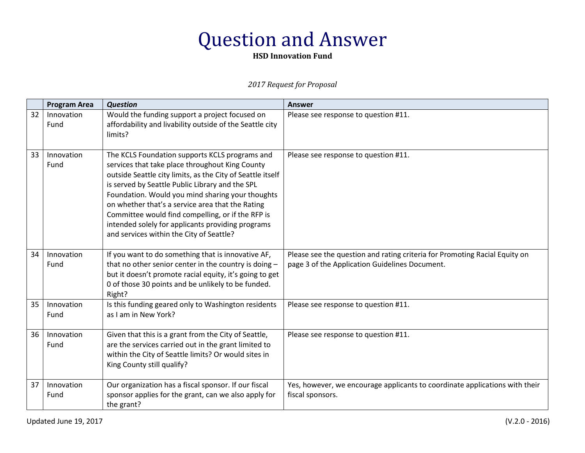### **HSD Innovation Fund**

|    | <b>Program Area</b> | <b>Question</b>                                                                                                                                                                                                                                                                                                                                                                                                                                                                  | <b>Answer</b>                                                                                                                |
|----|---------------------|----------------------------------------------------------------------------------------------------------------------------------------------------------------------------------------------------------------------------------------------------------------------------------------------------------------------------------------------------------------------------------------------------------------------------------------------------------------------------------|------------------------------------------------------------------------------------------------------------------------------|
| 32 | Innovation<br>Fund  | Would the funding support a project focused on<br>affordability and livability outside of the Seattle city<br>limits?                                                                                                                                                                                                                                                                                                                                                            | Please see response to question #11.                                                                                         |
| 33 | Innovation<br>Fund  | The KCLS Foundation supports KCLS programs and<br>services that take place throughout King County<br>outside Seattle city limits, as the City of Seattle itself<br>is served by Seattle Public Library and the SPL<br>Foundation. Would you mind sharing your thoughts<br>on whether that's a service area that the Rating<br>Committee would find compelling, or if the RFP is<br>intended solely for applicants providing programs<br>and services within the City of Seattle? | Please see response to question #11.                                                                                         |
| 34 | Innovation<br>Fund  | If you want to do something that is innovative AF,<br>that no other senior center in the country is doing -<br>but it doesn't promote racial equity, it's going to get<br>0 of those 30 points and be unlikely to be funded.<br>Right?                                                                                                                                                                                                                                           | Please see the question and rating criteria for Promoting Racial Equity on<br>page 3 of the Application Guidelines Document. |
| 35 | Innovation<br>Fund  | Is this funding geared only to Washington residents<br>as I am in New York?                                                                                                                                                                                                                                                                                                                                                                                                      | Please see response to question #11.                                                                                         |
| 36 | Innovation<br>Fund  | Given that this is a grant from the City of Seattle,<br>are the services carried out in the grant limited to<br>within the City of Seattle limits? Or would sites in<br>King County still qualify?                                                                                                                                                                                                                                                                               | Please see response to question #11.                                                                                         |
| 37 | Innovation<br>Fund  | Our organization has a fiscal sponsor. If our fiscal<br>sponsor applies for the grant, can we also apply for<br>the grant?                                                                                                                                                                                                                                                                                                                                                       | Yes, however, we encourage applicants to coordinate applications with their<br>fiscal sponsors.                              |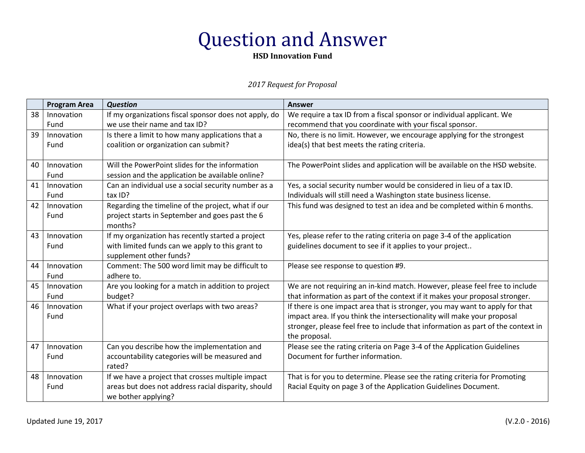**HSD Innovation Fund**

|    | <b>Program Area</b> | <b>Question</b>                                       | <b>Answer</b>                                                                                     |
|----|---------------------|-------------------------------------------------------|---------------------------------------------------------------------------------------------------|
| 38 | Innovation          | If my organizations fiscal sponsor does not apply, do | We require a tax ID from a fiscal sponsor or individual applicant. We                             |
|    | Fund                | we use their name and tax ID?                         | recommend that you coordinate with your fiscal sponsor.                                           |
| 39 | Innovation          | Is there a limit to how many applications that a      | No, there is no limit. However, we encourage applying for the strongest                           |
|    | Fund                | coalition or organization can submit?                 | idea(s) that best meets the rating criteria.                                                      |
| 40 | Innovation          | Will the PowerPoint slides for the information        | The PowerPoint slides and application will be available on the HSD website.                       |
|    | Fund                | session and the application be available online?      |                                                                                                   |
| 41 | Innovation          | Can an individual use a social security number as a   | Yes, a social security number would be considered in lieu of a tax ID.                            |
|    | Fund                | tax ID?                                               | Individuals will still need a Washington state business license.                                  |
| 42 | Innovation          | Regarding the timeline of the project, what if our    | This fund was designed to test an idea and be completed within 6 months.                          |
|    | Fund                | project starts in September and goes past the 6       |                                                                                                   |
|    |                     | months?                                               |                                                                                                   |
| 43 | Innovation          | If my organization has recently started a project     | Yes, please refer to the rating criteria on page 3-4 of the application                           |
|    | Fund                | with limited funds can we apply to this grant to      | guidelines document to see if it applies to your project                                          |
|    |                     | supplement other funds?                               |                                                                                                   |
| 44 | Innovation          | Comment: The 500 word limit may be difficult to       | Please see response to question #9.                                                               |
|    | Fund                | adhere to.                                            |                                                                                                   |
| 45 | Innovation          | Are you looking for a match in addition to project    | We are not requiring an in-kind match. However, please feel free to include                       |
|    | Fund                | budget?                                               | that information as part of the context if it makes your proposal stronger.                       |
| 46 | Innovation          | What if your project overlaps with two areas?         | If there is one impact area that is stronger, you may want to apply for that                      |
|    | Fund                |                                                       | impact area. If you think the intersectionality will make your proposal                           |
|    |                     |                                                       | stronger, please feel free to include that information as part of the context in<br>the proposal. |
| 47 | Innovation          | Can you describe how the implementation and           | Please see the rating criteria on Page 3-4 of the Application Guidelines                          |
|    | Fund                | accountability categories will be measured and        | Document for further information.                                                                 |
|    |                     | rated?                                                |                                                                                                   |
| 48 | Innovation          | If we have a project that crosses multiple impact     | That is for you to determine. Please see the rating criteria for Promoting                        |
|    | Fund                | areas but does not address racial disparity, should   | Racial Equity on page 3 of the Application Guidelines Document.                                   |
|    |                     | we bother applying?                                   |                                                                                                   |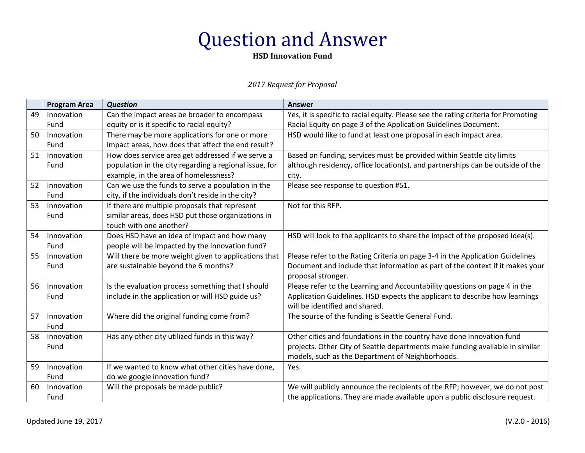**HSD Innovation Fund**

|    | <b>Program Area</b> | <b>Question</b>                                        | <b>Answer</b>                                                                      |
|----|---------------------|--------------------------------------------------------|------------------------------------------------------------------------------------|
| 49 | Innovation          | Can the impact areas be broader to encompass           | Yes, it is specific to racial equity. Please see the rating criteria for Promoting |
|    | Fund                | equity or is it specific to racial equity?             | Racial Equity on page 3 of the Application Guidelines Document.                    |
| 50 | Innovation          | There may be more applications for one or more         | HSD would like to fund at least one proposal in each impact area.                  |
|    | Fund                | impact areas, how does that affect the end result?     |                                                                                    |
| 51 | Innovation          | How does service area get addressed if we serve a      | Based on funding, services must be provided within Seattle city limits             |
|    | Fund                | population in the city regarding a regional issue, for | although residency, office location(s), and partnerships can be outside of the     |
|    |                     | example, in the area of homelessness?                  | city.                                                                              |
| 52 | Innovation          | Can we use the funds to serve a population in the      | Please see response to question #51.                                               |
|    | Fund                | city, if the individuals don't reside in the city?     |                                                                                    |
| 53 | Innovation          | If there are multiple proposals that represent         | Not for this RFP.                                                                  |
|    | Fund                | similar areas, does HSD put those organizations in     |                                                                                    |
|    |                     | touch with one another?                                |                                                                                    |
| 54 | Innovation          | Does HSD have an idea of impact and how many           | HSD will look to the applicants to share the impact of the proposed idea(s).       |
|    | Fund                | people will be impacted by the innovation fund?        |                                                                                    |
| 55 | Innovation          | Will there be more weight given to applications that   | Please refer to the Rating Criteria on page 3-4 in the Application Guidelines      |
|    | Fund                | are sustainable beyond the 6 months?                   | Document and include that information as part of the context if it makes your      |
|    |                     |                                                        | proposal stronger.                                                                 |
| 56 | Innovation          | Is the evaluation process something that I should      | Please refer to the Learning and Accountability questions on page 4 in the         |
|    | Fund                | include in the application or will HSD guide us?       | Application Guidelines. HSD expects the applicant to describe how learnings        |
|    |                     |                                                        | will be identified and shared.                                                     |
| 57 | Innovation          | Where did the original funding come from?              | The source of the funding is Seattle General Fund.                                 |
|    | Fund                |                                                        |                                                                                    |
| 58 | Innovation          | Has any other city utilized funds in this way?         | Other cities and foundations in the country have done innovation fund              |
|    | Fund                |                                                        | projects. Other City of Seattle departments make funding available in similar      |
|    |                     |                                                        | models, such as the Department of Neighborhoods.                                   |
| 59 | Innovation          | If we wanted to know what other cities have done,      | Yes.                                                                               |
|    | Fund                | do we google innovation fund?                          |                                                                                    |
| 60 | Innovation          | Will the proposals be made public?                     | We will publicly announce the recipients of the RFP; however, we do not post       |
|    | Fund                |                                                        | the applications. They are made available upon a public disclosure request.        |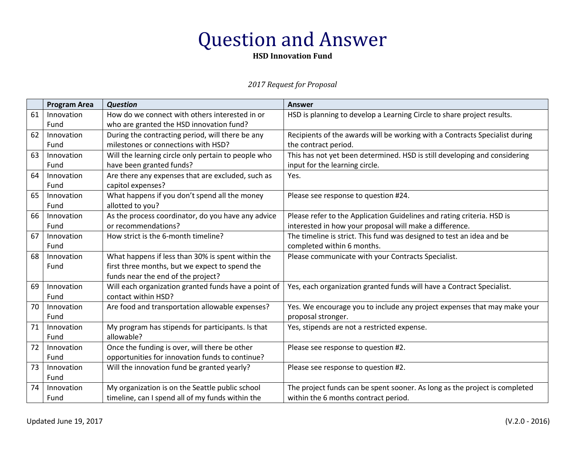**HSD Innovation Fund**

|    | <b>Program Area</b> | <b>Question</b>                                      | <b>Answer</b>                                                               |
|----|---------------------|------------------------------------------------------|-----------------------------------------------------------------------------|
| 61 | Innovation          | How do we connect with others interested in or       | HSD is planning to develop a Learning Circle to share project results.      |
|    | Fund                | who are granted the HSD innovation fund?             |                                                                             |
| 62 | Innovation          | During the contracting period, will there be any     | Recipients of the awards will be working with a Contracts Specialist during |
|    | Fund                | milestones or connections with HSD?                  | the contract period.                                                        |
| 63 | Innovation          | Will the learning circle only pertain to people who  | This has not yet been determined. HSD is still developing and considering   |
|    | Fund                | have been granted funds?                             | input for the learning circle.                                              |
| 64 | Innovation          | Are there any expenses that are excluded, such as    | Yes.                                                                        |
|    | Fund                | capitol expenses?                                    |                                                                             |
| 65 | Innovation          | What happens if you don't spend all the money        | Please see response to question #24.                                        |
|    | Fund                | allotted to you?                                     |                                                                             |
| 66 | Innovation          | As the process coordinator, do you have any advice   | Please refer to the Application Guidelines and rating criteria. HSD is      |
|    | Fund                | or recommendations?                                  | interested in how your proposal will make a difference.                     |
| 67 | Innovation          | How strict is the 6-month timeline?                  | The timeline is strict. This fund was designed to test an idea and be       |
|    | Fund                |                                                      | completed within 6 months.                                                  |
| 68 | Innovation          | What happens if less than 30% is spent within the    | Please communicate with your Contracts Specialist.                          |
|    | Fund                | first three months, but we expect to spend the       |                                                                             |
|    |                     | funds near the end of the project?                   |                                                                             |
| 69 | Innovation          | Will each organization granted funds have a point of | Yes, each organization granted funds will have a Contract Specialist.       |
|    | Fund                | contact within HSD?                                  |                                                                             |
| 70 | Innovation          | Are food and transportation allowable expenses?      | Yes. We encourage you to include any project expenses that may make your    |
|    | Fund                |                                                      | proposal stronger.                                                          |
| 71 | Innovation          | My program has stipends for participants. Is that    | Yes, stipends are not a restricted expense.                                 |
|    | Fund                | allowable?                                           |                                                                             |
| 72 | Innovation          | Once the funding is over, will there be other        | Please see response to question #2.                                         |
|    | Fund                | opportunities for innovation funds to continue?      |                                                                             |
| 73 | Innovation          | Will the innovation fund be granted yearly?          | Please see response to question #2.                                         |
|    | Fund                |                                                      |                                                                             |
| 74 | Innovation          | My organization is on the Seattle public school      | The project funds can be spent sooner. As long as the project is completed  |
|    | Fund                | timeline, can I spend all of my funds within the     | within the 6 months contract period.                                        |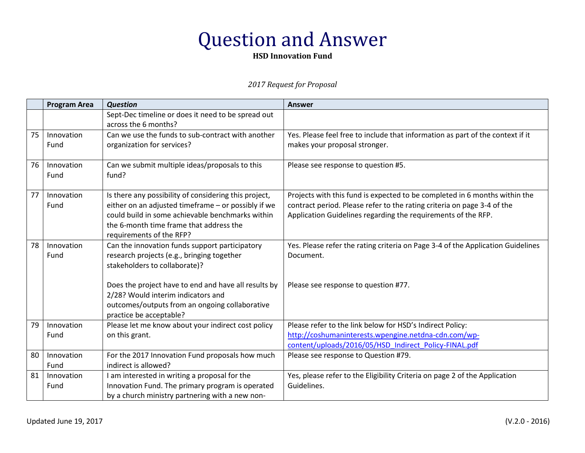**HSD Innovation Fund**

|    | <b>Program Area</b> | <b>Question</b>                                                                                                                                                                                                                         | <b>Answer</b>                                                                                                                                                                                                          |
|----|---------------------|-----------------------------------------------------------------------------------------------------------------------------------------------------------------------------------------------------------------------------------------|------------------------------------------------------------------------------------------------------------------------------------------------------------------------------------------------------------------------|
|    |                     | Sept-Dec timeline or does it need to be spread out<br>across the 6 months?                                                                                                                                                              |                                                                                                                                                                                                                        |
| 75 | Innovation<br>Fund  | Can we use the funds to sub-contract with another<br>organization for services?                                                                                                                                                         | Yes. Please feel free to include that information as part of the context if it<br>makes your proposal stronger.                                                                                                        |
| 76 | Innovation<br>Fund  | Can we submit multiple ideas/proposals to this<br>fund?                                                                                                                                                                                 | Please see response to question #5.                                                                                                                                                                                    |
| 77 | Innovation<br>Fund  | Is there any possibility of considering this project,<br>either on an adjusted timeframe - or possibly if we<br>could build in some achievable benchmarks within<br>the 6-month time frame that address the<br>requirements of the RFP? | Projects with this fund is expected to be completed in 6 months within the<br>contract period. Please refer to the rating criteria on page 3-4 of the<br>Application Guidelines regarding the requirements of the RFP. |
| 78 | Innovation<br>Fund  | Can the innovation funds support participatory<br>research projects (e.g., bringing together<br>stakeholders to collaborate)?                                                                                                           | Yes. Please refer the rating criteria on Page 3-4 of the Application Guidelines<br>Document.                                                                                                                           |
|    |                     | Does the project have to end and have all results by<br>2/28? Would interim indicators and<br>outcomes/outputs from an ongoing collaborative<br>practice be acceptable?                                                                 | Please see response to question #77.                                                                                                                                                                                   |
| 79 | Innovation<br>Fund  | Please let me know about your indirect cost policy<br>on this grant.                                                                                                                                                                    | Please refer to the link below for HSD's Indirect Policy:<br>http://coshumaninterests.wpengine.netdna-cdn.com/wp-<br>content/uploads/2016/05/HSD Indirect Policy-FINAL.pdf                                             |
| 80 | Innovation<br>Fund  | For the 2017 Innovation Fund proposals how much<br>indirect is allowed?                                                                                                                                                                 | Please see response to Question #79.                                                                                                                                                                                   |
| 81 | Innovation<br>Fund  | I am interested in writing a proposal for the<br>Innovation Fund. The primary program is operated<br>by a church ministry partnering with a new non-                                                                                    | Yes, please refer to the Eligibility Criteria on page 2 of the Application<br>Guidelines.                                                                                                                              |